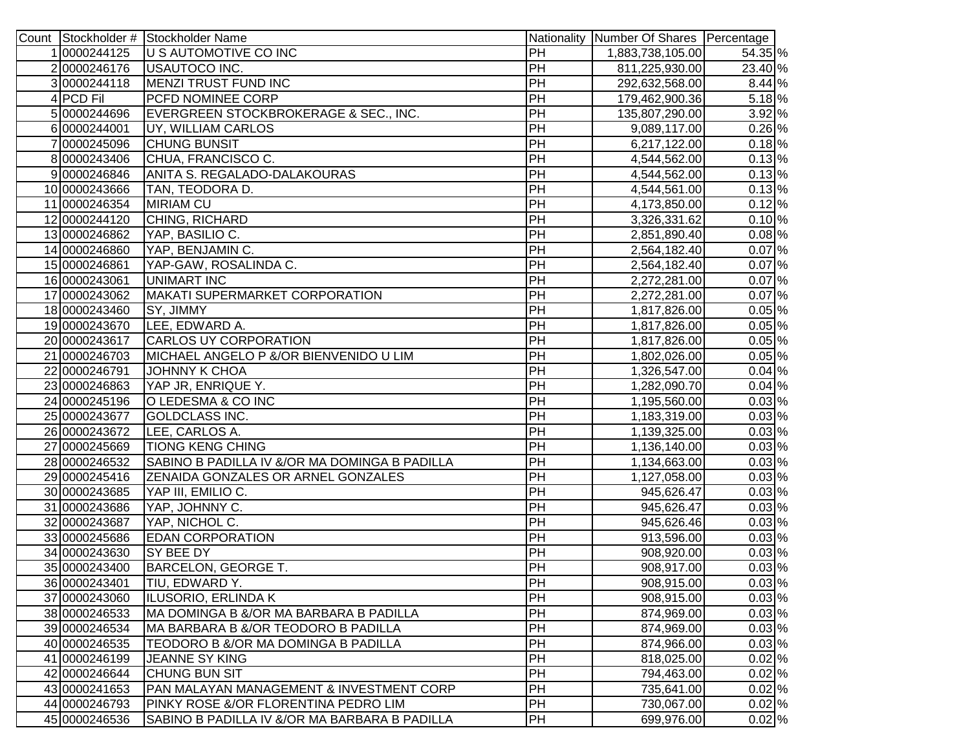|               | Count Stockholder # Stockholder Name          |                 | Nationality Number Of Shares Percentage |          |
|---------------|-----------------------------------------------|-----------------|-----------------------------------------|----------|
| 10000244125   | U S AUTOMOTIVE CO INC                         | PH              | 1,883,738,105.00                        | 54.35 %  |
| 20000246176   | USAUTOCO INC.                                 | PH              | 811,225,930.00                          | 23.40 %  |
| 30000244118   | MENZI TRUST FUND INC                          | PH              | 292,632,568.00                          | 8.44 %   |
| 4 PCD Fil     | PCFD NOMINEE CORP                             | PH              | 179,462,900.36                          | 5.18 %   |
| 50000244696   | EVERGREEN STOCKBROKERAGE & SEC., INC.         | PH              | 135,807,290.00                          | 3.92 %   |
| 60000244001   | UY, WILLIAM CARLOS                            | PH              | 9,089,117.00                            | 0.26 %   |
| 70000245096   | <b>CHUNG BUNSIT</b>                           | PH              | 6,217,122.00                            | $0.18\%$ |
| 80000243406   | CHUA, FRANCISCO C.                            | PH              | 4,544,562.00                            | 0.13%    |
| 90000246846   | ANITA S. REGALADO-DALAKOURAS                  | PH              | 4,544,562.00                            | 0.13%    |
| 10 0000243666 | TAN, TEODORA D.                               | PH              | 4,544,561.00                            | 0.13%    |
| 11 0000246354 | <b>MIRIAM CU</b>                              | PH              | 4,173,850.00                            | $0.12$ % |
| 12 0000244120 | CHING, RICHARD                                | PH              | 3,326,331.62                            | 0.10%    |
| 13 0000246862 | YAP, BASILIO C.                               | PH              | 2,851,890.40                            | $0.08\%$ |
| 14 0000246860 | YAP, BENJAMIN C.                              | PH              | 2,564,182.40                            | $0.07\%$ |
| 150000246861  | YAP-GAW, ROSALINDA C.                         | PH              | 2,564,182.40                            | $0.07\%$ |
| 160000243061  | UNIMART INC                                   | PH              | 2,272,281.00                            | $0.07\%$ |
| 17 0000243062 | MAKATI SUPERMARKET CORPORATION                | PH              | 2,272,281.00                            | $0.07\%$ |
| 18 0000243460 | SY, JIMMY                                     | PH              | 1,817,826.00                            | $0.05\%$ |
| 190000243670  | LEE, EDWARD A.                                | PH              | 1,817,826.00                            | 0.05 %   |
| 20 0000243617 | <b>CARLOS UY CORPORATION</b>                  | PH              | 1,817,826.00                            | $0.05\%$ |
| 21 0000246703 | MICHAEL ANGELO P &/OR BIENVENIDO U LIM        | PH              | 1,802,026.00                            | $0.05\%$ |
| 22 0000246791 | <b>JOHNNY K CHOA</b>                          | PH              | 1,326,547.00                            | $0.04\%$ |
| 23 0000246863 | YAP JR, ENRIQUE Y.                            | PH              | 1,282,090.70                            | $0.04\%$ |
| 24 0000245196 | O LEDESMA & CO INC                            | PH              | 1,195,560.00                            | $0.03\%$ |
| 25 0000243677 | GOLDCLASS INC.                                | PH              | 1,183,319.00                            | 0.03 %   |
| 26 0000243672 | LEE, CARLOS A.                                | PH              | 1,139,325.00                            | $0.03\%$ |
| 27 0000245669 | <b>TIONG KENG CHING</b>                       | PH              | 1,136,140.00                            | 0.03%    |
| 28 0000246532 | SABINO B PADILLA IV &/OR MA DOMINGA B PADILLA | PH              | 1,134,663.00                            | $0.03\%$ |
| 29 0000245416 | ZENAIDA GONZALES OR ARNEL GONZALES            | PH              | 1,127,058.00                            | $0.03\%$ |
| 30 0000243685 | YAP III, EMILIO C.                            | PH              | 945,626.47                              | 0.03%    |
| 31 0000243686 | YAP, JOHNNY C.                                | PH              | 945,626.47                              | $0.03\%$ |
| 32 0000243687 | YAP, NICHOL C.                                | PH              | 945,626.46                              | $0.03\%$ |
| 33 0000245686 | <b>EDAN CORPORATION</b>                       | $\overline{PH}$ | 913,596.00                              | $0.03\%$ |
| 34 0000243630 | SY BEE DY                                     | PH              | 908,920.00                              | $0.03\%$ |
| 35 0000243400 | BARCELON, GEORGE T.                           | PH              | 908,917.00                              | $0.03\%$ |
| 36 0000243401 | TIU, EDWARD Y.                                | <b>IPH</b>      | 908,915.00                              | $0.03\%$ |
| 37 0000243060 | ILUSORIO, ERLINDA K                           | PH              | 908,915.00                              | $0.03\%$ |
| 38 0000246533 | MA DOMINGA B &/OR MA BARBARA B PADILLA        | PH              | 874,969.00                              | 0.03 %   |
| 39 0000246534 | MA BARBARA B &/OR TEODORO B PADILLA           | PH              | 874,969.00                              | 0.03%    |
| 40 0000246535 | TEODORO B &/OR MA DOMINGA B PADILLA           | PH              | 874,966.00                              | $0.03\%$ |
| 41 0000246199 | <b>JEANNE SY KING</b>                         | PH              | 818,025.00                              | 0.02%    |
| 42 0000246644 | CHUNG BUN SIT                                 | PH              | 794,463.00                              | $0.02$ % |
| 43 0000241653 | PAN MALAYAN MANAGEMENT & INVESTMENT CORP      | PH              | 735,641.00                              | 0.02%    |
| 44 0000246793 | PINKY ROSE &/OR FLORENTINA PEDRO LIM          | PH              | 730,067.00                              | 0.02%    |
| 45 0000246536 | SABINO B PADILLA IV &/OR MA BARBARA B PADILLA | PH              | 699,976.00                              | $0.02$ % |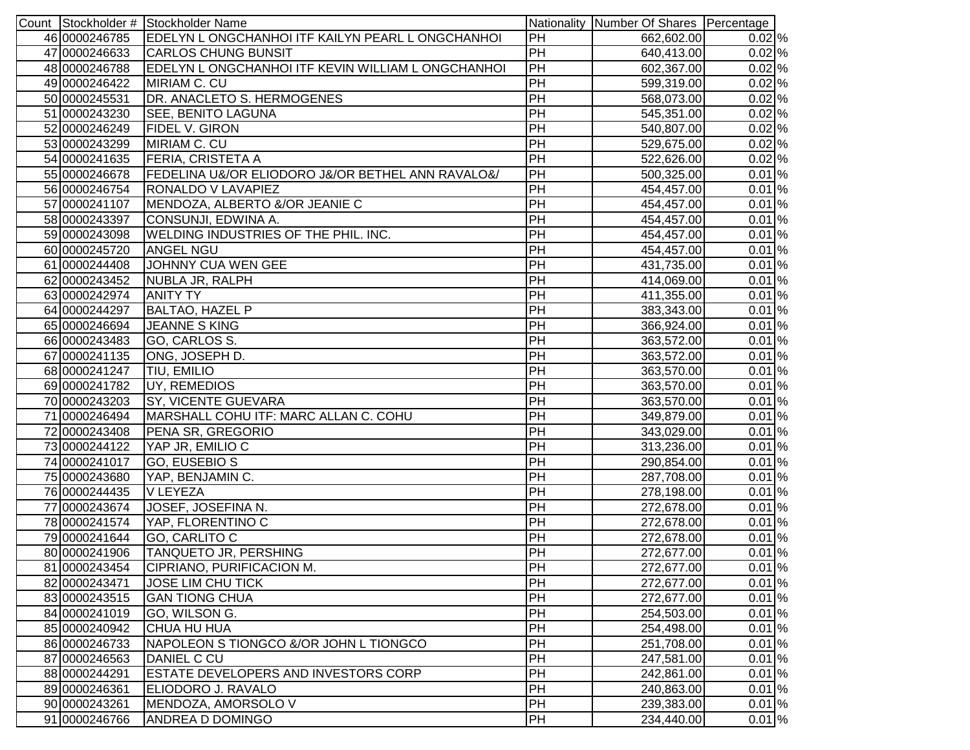|               | Count Stockholder # Stockholder Name               |                 | Nationality Number Of Shares Percentage |          |
|---------------|----------------------------------------------------|-----------------|-----------------------------------------|----------|
| 46 0000246785 | EDELYN LONGCHANHOI ITF KAILYN PEARL LONGCHANHOI    | PH              | 662,602.00                              | 0.02%    |
| 47 0000246633 | <b>CARLOS CHUNG BUNSIT</b>                         | $\overline{PH}$ | 640,413.00                              | 0.02%    |
| 48 0000246788 | EDELYN L ONGCHANHOI ITF KEVIN WILLIAM L ONGCHANHOI | $\overline{PH}$ | 602,367.00                              | $0.02\%$ |
| 49 0000246422 | MIRIAM C. CU                                       | $\overline{PH}$ | 599,319.00                              | $0.02\%$ |
| 50 0000245531 | DR. ANACLETO S. HERMOGENES                         | PH              | 568,073.00                              | 0.02%    |
| 51 0000243230 | <b>SEE, BENITO LAGUNA</b>                          | $\overline{PH}$ | 545,351.00                              | 0.02%    |
| 52 0000246249 | <b>FIDEL V. GIRON</b>                              | PH              | 540,807.00                              | 0.02 %   |
| 53 0000243299 | MIRIAM C. CU                                       | PH              | 529,675.00                              | 0.02 %   |
| 54 0000241635 | <b>FERIA, CRISTETA A</b>                           | PH              | 522,626.00                              | $0.02$ % |
| 55 0000246678 | FEDELINA U&/OR ELIODORO J&/OR BETHEL ANN RAVALO&/  | PH              | 500,325.00                              | $0.01$ % |
| 56 0000246754 | RONALDO V LAVAPIEZ                                 | PH              | 454,457.00                              | $0.01$ % |
| 57 0000241107 | MENDOZA, ALBERTO &/OR JEANIE C                     | PH              | 454,457.00                              | $0.01$ % |
| 58 0000243397 | CONSUNJI, EDWINA A.                                | PH              | 454,457.00                              | 0.01%    |
| 59 0000243098 | WELDING INDUSTRIES OF THE PHIL. INC.               | PH              | 454,457.00                              | $0.01\%$ |
| 60 0000245720 | ANGEL NGU                                          | $\overline{PH}$ | 454,457.00                              | $0.01\%$ |
| 61 0000244408 | JOHNNY CUA WEN GEE                                 | PH              | 431,735.00                              | $0.01\%$ |
| 62 0000243452 | NUBLA JR, RALPH                                    | PH              | 414,069.00                              | $0.01\%$ |
| 63 0000242974 | <b>ANITY TY</b>                                    | PH              | 411,355.00                              | $0.01\%$ |
| 64 0000244297 | BALTAO, HAZEL P                                    | PH              | 383,343.00                              | $0.01\%$ |
| 65 0000246694 | <b>JEANNE S KING</b>                               | PH              | 366,924.00                              | 0.01%    |
| 66 0000243483 | GO, CARLOS S.                                      | PH              | 363,572.00                              | $0.01\%$ |
| 67 0000241135 | ONG, JOSEPH D.                                     | PH              | 363,572.00                              | 0.01%    |
| 68 0000241247 | <b>TIU, EMILIO</b>                                 | PH              | 363,570.00                              | $0.01\%$ |
| 69 0000241782 | UY, REMEDIOS                                       | PH              | 363,570.00                              | $0.01\%$ |
| 70 0000243203 | <b>SY, VICENTE GUEVARA</b>                         | PH              | 363,570.00                              | 0.01%    |
| 71 0000246494 | MARSHALL COHU ITF: MARC ALLAN C. COHU              | PH              | 349,879.00                              | 0.01%    |
| 72 0000243408 | PENA SR, GREGORIO                                  | $\overline{PH}$ | 343,029.00                              | 0.01%    |
| 73 0000244122 | YAP JR, EMILIO C                                   | $\overline{PH}$ | 313,236.00                              | 0.01%    |
| 74 0000241017 | GO, EUSEBIO S                                      | $\overline{PH}$ | 290,854.00                              | 0.01%    |
| 75 0000243680 | YAP, BENJAMIN C.                                   | $\overline{PH}$ | 287,708.00                              | 0.01 %   |
| 76 0000244435 | V LEYEZA                                           | $\overline{PH}$ | 278,198.00                              | $0.01\%$ |
| 77 0000243674 | JOSEF, JOSEFINA N.                                 | PH              | 272,678.00                              | 0.01%    |
| 78 0000241574 | YAP, FLORENTINO C                                  | $\overline{PH}$ | 272,678.00                              | 0.01%    |
| 79 0000241644 | GO, CARLITO C                                      | PH              | 272,678.00                              | $0.01\%$ |
| 80 0000241906 | TANQUETO JR, PERSHING                              | $\overline{PH}$ | 272,677.00                              | $0.01\%$ |
| 81 0000243454 | CIPRIANO, PURIFICACION M.                          | <b>PH</b>       | 272,677.00                              | 0.01%    |
| 82 0000243471 | <b>JOSE LIM CHU TICK</b>                           | PH              | 272,677.00                              | $0.01\%$ |
| 83 0000243515 | <b>GAN TIONG CHUA</b>                              | PH              | 272,677.00                              | $0.01\%$ |
| 84 0000241019 | GO, WILSON G.                                      | PH              | 254,503.00                              | 0.01%    |
| 85 0000240942 | <b>CHUA HU HUA</b>                                 | PH              | 254,498.00                              | $0.01\%$ |
| 86 0000246733 | NAPOLEON S TIONGCO &/OR JOHN L TIONGCO             | PH              | 251,708.00                              | $0.01\%$ |
| 87 0000246563 | DANIEL C CU                                        | PH              | 247,581.00                              | 0.01%    |
| 88 0000244291 | ESTATE DEVELOPERS AND INVESTORS CORP               | PH              | 242,861.00                              | 0.01%    |
| 89 0000246361 | ELIODORO J. RAVALO                                 | PH              | 240,863.00                              | 0.01%    |
| 90 0000243261 | MENDOZA, AMORSOLO V                                | PH              | 239,383.00                              | $0.01\%$ |
| 91 0000246766 | ANDREA D DOMINGO                                   | PH              | 234,440.00                              | $0.01\%$ |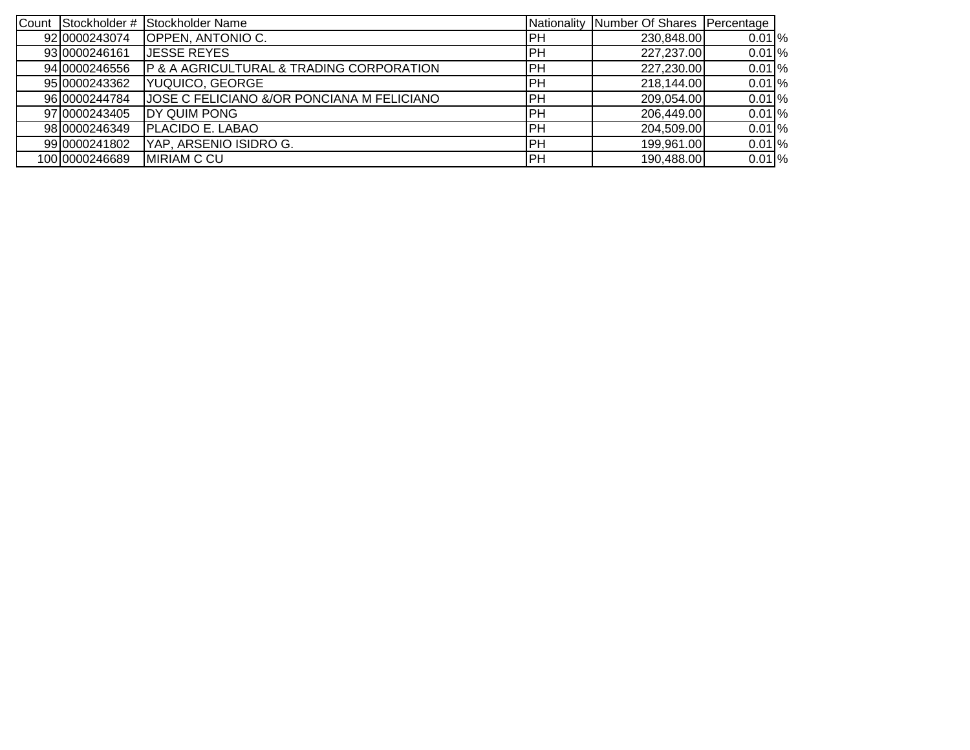| Count Stockholder # | Stockholder Name                           |            | Nationality Number Of Shares Percentage |          |
|---------------------|--------------------------------------------|------------|-----------------------------------------|----------|
| 92 0000243074       | OPPEN, ANTONIO C.                          | IPH        | 230,848.00                              | $0.01\%$ |
| 93 0000246161       | JESSE REYES                                | IРН        | 227,237.00                              | $0.01\%$ |
| 94 0000246556       | P & A AGRICULTURAL & TRADING CORPORATION   | PH         | 227,230.00                              | 0.01%    |
| 95 0000243362       | YUQUICO, GEORGE                            | PH         | 218,144.00                              | 0.01%    |
| 96 0000244784       | JOSE C FELICIANO &/OR PONCIANA M FELICIANO | IPH        | 209,054.00                              | 0.01%    |
| 97 0000243405       | DY QUIM PONG                               | PH         | 206,449.00                              | $0.01\%$ |
| 98 0000246349       | <b>IPLACIDO E. LABAO</b>                   | IPH        | 204,509.00                              | 0.01%    |
| 99 0000241802       | YAP, ARSENIO ISIDRO G.                     | PH         | 199,961.00                              | 0.01%    |
| 100 0000246689      | <b>MIRIAM C CU</b>                         | <b>IPH</b> | 190,488.00                              | 0.01%    |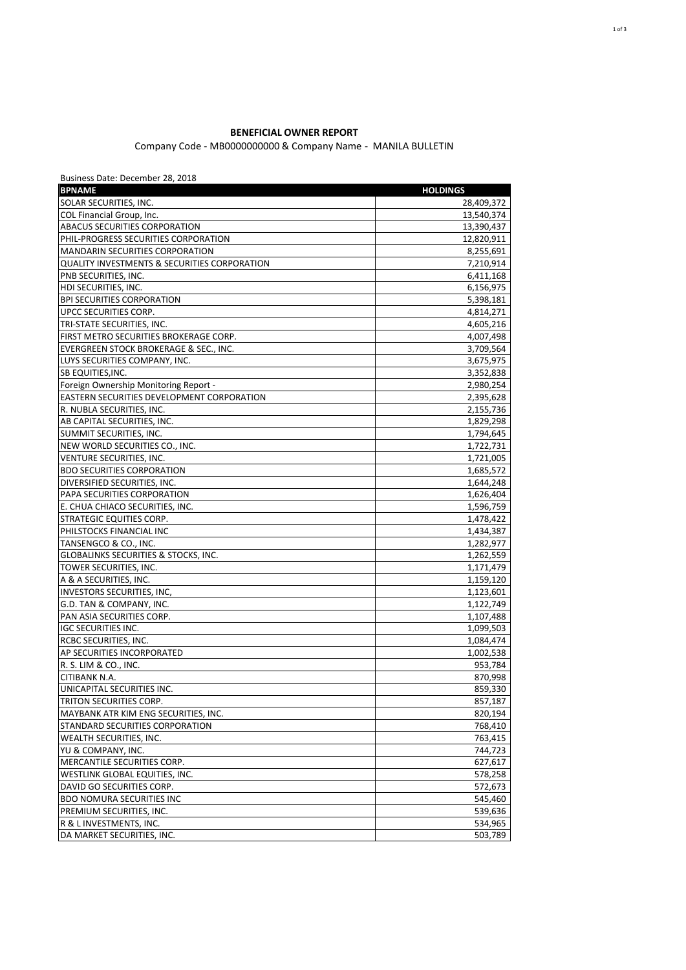## **BENEFICIAL OWNER REPORT**

## Company Code - MB0000000000 & Company Name - MANILA BULLETIN

| Business Date: December 28, 2018                        |                    |
|---------------------------------------------------------|--------------------|
| <b>BPNAME</b>                                           | <b>HOLDINGS</b>    |
| SOLAR SECURITIES, INC.                                  | 28,409,372         |
| COL Financial Group, Inc.                               | 13,540,374         |
| ABACUS SECURITIES CORPORATION                           | 13,390,437         |
| PHIL-PROGRESS SECURITIES CORPORATION                    | 12,820,911         |
| <b>MANDARIN SECURITIES CORPORATION</b>                  | 8,255,691          |
| <b>QUALITY INVESTMENTS &amp; SECURITIES CORPORATION</b> | 7,210,914          |
| PNB SECURITIES, INC.                                    | 6,411,168          |
| HDI SECURITIES, INC.                                    | 6,156,975          |
| <b>BPI SECURITIES CORPORATION</b>                       | 5,398,181          |
| UPCC SECURITIES CORP.                                   | 4,814,271          |
| TRI-STATE SECURITIES, INC.                              | 4,605,216          |
| FIRST METRO SECURITIES BROKERAGE CORP.                  | 4,007,498          |
| EVERGREEN STOCK BROKERAGE & SEC., INC.                  | 3,709,564          |
| LUYS SECURITIES COMPANY, INC.                           | 3,675,975          |
| SB EQUITIES, INC.                                       | 3,352,838          |
| Foreign Ownership Monitoring Report -                   | 2,980,254          |
| EASTERN SECURITIES DEVELOPMENT CORPORATION              | 2,395,628          |
| R. NUBLA SECURITIES, INC.                               | 2,155,736          |
| AB CAPITAL SECURITIES, INC.                             | 1,829,298          |
| SUMMIT SECURITIES, INC.                                 | 1,794,645          |
| NEW WORLD SECURITIES CO., INC.                          | 1,722,731          |
| VENTURE SECURITIES, INC.                                | 1,721,005          |
| <b>BDO SECURITIES CORPORATION</b>                       | 1,685,572          |
| DIVERSIFIED SECURITIES, INC.                            | 1,644,248          |
| PAPA SECURITIES CORPORATION                             | 1,626,404          |
| E. CHUA CHIACO SECURITIES, INC.                         | 1,596,759          |
| <b>STRATEGIC EQUITIES CORP.</b>                         | 1,478,422          |
| PHILSTOCKS FINANCIAL INC                                | 1,434,387          |
| TANSENGCO & CO., INC.                                   | 1,282,977          |
| <b>GLOBALINKS SECURITIES &amp; STOCKS, INC.</b>         | 1,262,559          |
| TOWER SECURITIES, INC.                                  | 1,171,479          |
| A & A SECURITIES, INC.                                  | 1,159,120          |
| <b>INVESTORS SECURITIES, INC,</b>                       | 1,123,601          |
| G.D. TAN & COMPANY, INC.                                | 1,122,749          |
| PAN ASIA SECURITIES CORP.                               | 1,107,488          |
| <b>IGC SECURITIES INC.</b>                              | 1,099,503          |
| RCBC SECURITIES, INC.                                   | 1,084,474          |
| AP SECURITIES INCORPORATED                              | 1,002,538          |
| R. S. LIM & CO., INC.                                   | 953,784            |
| CITIBANK N.A.                                           | 870,998            |
| UNICAPITAL SECURITIES INC.                              | 859,330            |
| TRITON SECURITIES CORP.                                 | 857,187            |
| MAYBANK ATR KIM ENG SECURITIES, INC.                    |                    |
| STANDARD SECURITIES CORPORATION                         | 820,194<br>768,410 |
| <b>WEALTH SECURITIES, INC.</b>                          |                    |
|                                                         | 763,415            |
| YU & COMPANY, INC.                                      | 744,723            |
| MERCANTILE SECURITIES CORP.                             | 627,617            |
| WESTLINK GLOBAL EQUITIES, INC.                          | 578,258            |
| DAVID GO SECURITIES CORP.                               | 572,673            |
| <b>BDO NOMURA SECURITIES INC</b>                        | 545,460            |
| PREMIUM SECURITIES, INC.                                | 539,636            |
| R & L INVESTMENTS, INC.                                 | 534,965            |
| DA MARKET SECURITIES, INC.                              | 503,789            |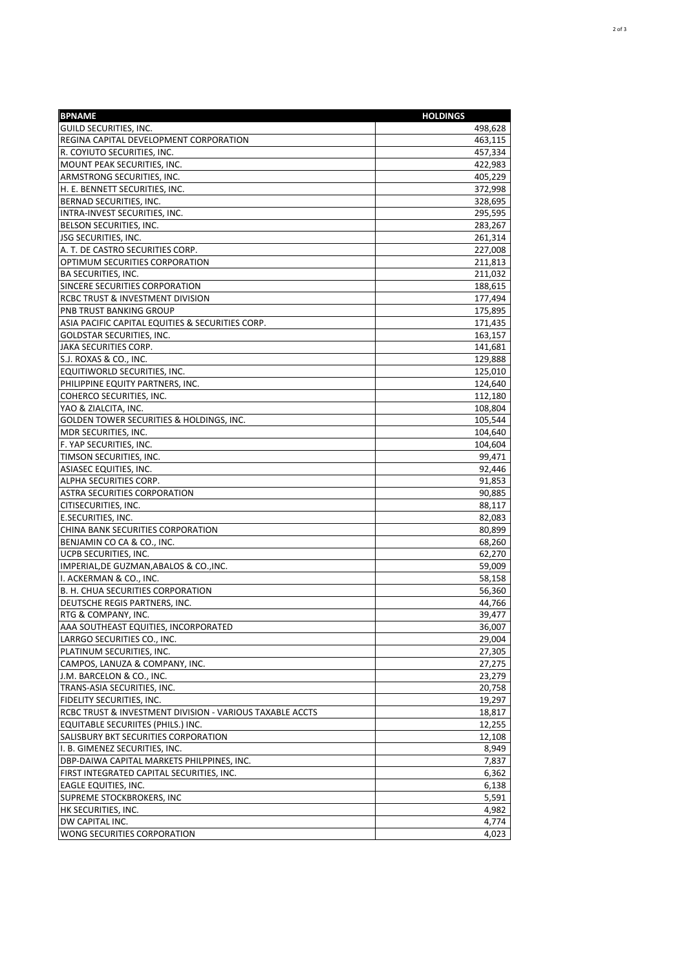| <b>BPNAME</b>                                            | <b>HOLDINGS</b> |
|----------------------------------------------------------|-----------------|
| GUILD SECURITIES, INC.                                   | 498,628         |
| REGINA CAPITAL DEVELOPMENT CORPORATION                   | 463,115         |
| R. COYIUTO SECURITIES, INC.                              | 457,334         |
| MOUNT PEAK SECURITIES, INC.                              | 422,983         |
| ARMSTRONG SECURITIES, INC.                               | 405,229         |
| H. E. BENNETT SECURITIES, INC.                           | 372,998         |
| BERNAD SECURITIES, INC.                                  | 328,695         |
| INTRA-INVEST SECURITIES, INC.                            | 295,595         |
| BELSON SECURITIES, INC.                                  | 283,267         |
| <b>JSG SECURITIES, INC.</b>                              | 261,314         |
| A. T. DE CASTRO SECURITIES CORP.                         | 227,008         |
| OPTIMUM SECURITIES CORPORATION                           | 211,813         |
| BA SECURITIES, INC.                                      | 211,032         |
| SINCERE SECURITIES CORPORATION                           | 188,615         |
| RCBC TRUST & INVESTMENT DIVISION                         | 177,494         |
| PNB TRUST BANKING GROUP                                  | 175,895         |
| ASIA PACIFIC CAPITAL EQUITIES & SECURITIES CORP.         | 171,435         |
| GOLDSTAR SECURITIES, INC.                                | 163,157         |
| JAKA SECURITIES CORP.                                    | 141,681         |
| S.J. ROXAS & CO., INC.                                   | 129,888         |
| EQUITIWORLD SECURITIES, INC.                             | 125,010         |
| PHILIPPINE EQUITY PARTNERS, INC.                         | 124,640         |
| COHERCO SECURITIES, INC.                                 | 112,180         |
| YAO & ZIALCITA, INC.                                     | 108,804         |
| GOLDEN TOWER SECURITIES & HOLDINGS, INC.                 | 105,544         |
| MDR SECURITIES, INC.                                     | 104,640         |
| F. YAP SECURITIES, INC.                                  | 104,604         |
| TIMSON SECURITIES, INC.                                  | 99,471          |
| ASIASEC EQUITIES, INC.                                   | 92,446          |
| ALPHA SECURITIES CORP.                                   | 91,853          |
| <b>ASTRA SECURITIES CORPORATION</b>                      | 90,885          |
| CITISECURITIES, INC.                                     | 88,117          |
| E.SECURITIES, INC.                                       | 82,083          |
| CHINA BANK SECURITIES CORPORATION                        | 80,899          |
| BENJAMIN CO CA & CO., INC.                               | 68,260          |
| UCPB SECURITIES, INC.                                    | 62,270          |
| IMPERIAL, DE GUZMAN, ABALOS & CO., INC.                  | 59,009          |
| I. ACKERMAN & CO., INC.                                  | 58,158          |
| B. H. CHUA SECURITIES CORPORATION                        | 56,360          |
| DEUTSCHE REGIS PARTNERS, INC.                            | 44,766          |
| RTG & COMPANY, INC.                                      | 39,477          |
| AAA SOUTHEAST EQUITIES, INCORPORATED                     | 36,007          |
| LARRGO SECURITIES CO., INC.                              | 29,004          |
| PLATINUM SECURITIES, INC.                                | 27,305          |
| CAMPOS, LANUZA & COMPANY, INC.                           | 27,275          |
| J.M. BARCELON & CO., INC.                                | 23,279          |
| TRANS-ASIA SECURITIES, INC.                              | 20,758          |
| FIDELITY SECURITIES, INC.                                | 19,297          |
| RCBC TRUST & INVESTMENT DIVISION - VARIOUS TAXABLE ACCTS | 18,817          |
| EQUITABLE SECURIITES (PHILS.) INC.                       | 12,255          |
| SALISBURY BKT SECURITIES CORPORATION                     | 12,108          |
| I. B. GIMENEZ SECURITIES, INC.                           | 8,949           |
| DBP-DAIWA CAPITAL MARKETS PHILPPINES, INC.               | 7,837           |
| FIRST INTEGRATED CAPITAL SECURITIES, INC.                | 6,362           |
| EAGLE EQUITIES, INC.                                     | 6,138           |
| SUPREME STOCKBROKERS, INC                                | 5,591           |
| HK SECURITIES, INC.                                      | 4,982           |
| DW CAPITAL INC.                                          | 4,774           |
| WONG SECURITIES CORPORATION                              | 4,023           |